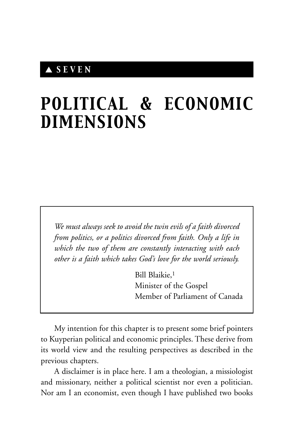## ▲ *SEVEN*

# *POLITICAL & ECONOMIC DIMENSIONS*

*We must always seek to avoid the twin evils of a faith divorced from politics, or a politics divorced from faith. Only a life in which the two of them are constantly interacting with each other is a faith which takes God's love for the world seriously.*

> Bill Blaikie,1 Minister of the Gospel Member of Parliament of Canada

My intention for this chapter is to present some brief pointers to Kuyperian political and economic principles. These derive from its world view and the resulting perspectives as described in the previous chapters.

A disclaimer is in place here. I am a theologian, a missiologist and missionary, neither a political scientist nor even a politician. Nor am I an economist, even though I have published two books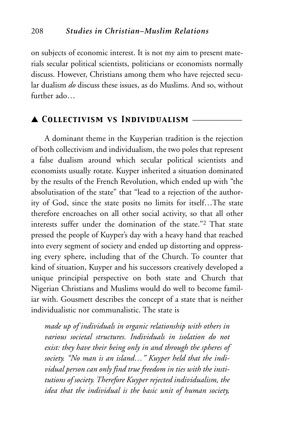on subjects of economic interest. It is not my aim to present materials secular political scientists, politicians or economists normally discuss. However, Christians among them who have rejected secular dualism *do* discuss these issues, as do Muslims. And so, without further ado…

## ▲ *Collectivism vs Individualism* \_\_\_\_\_\_\_\_\_\_\_\_

A dominant theme in the Kuyperian tradition is the rejection of both collectivism and individualism, the two poles that represent a false dualism around which secular political scientists and economists usually rotate. Kuyper inherited a situation dominated by the results of the French Revolution, which ended up with "the absolutisation of the state" that "lead to a rejection of the authority of God, since the state posits no limits for itself…The state therefore encroaches on all other social activity, so that all other interests suffer under the domination of the state."2 That state pressed the people of Kuyper's day with a heavy hand that reached into every segment of society and ended up distorting and oppressing every sphere, including that of the Church. To counter that kind of situation, Kuyper and his successors creatively developed a unique principial perspective on both state and Church that Nigerian Christians and Muslims would do well to become familiar with. Gousmett describes the concept of a state that is neither individualistic nor communalistic. The state is

*made up of individuals in organic relationship with others in various societal structures. Individuals in isolation do not exist: they have their being only in and through the spheres of society. "No man is an island…" Kuyper held that the individual person can only find true freedom in ties with the institutions of society. Therefore Kuyper rejected individualism, the idea that the individual is the basic unit of human society,*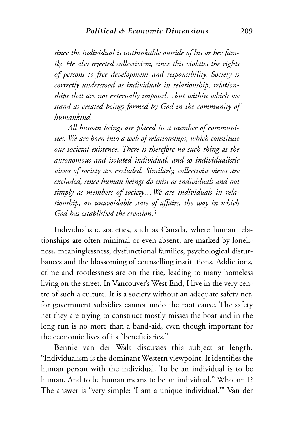*since the individual is unthinkable outside of his or her family. He also rejected collectivism, since this violates the rights of persons to free development and responsibility. Society is correctly understood as individuals in relationship, relationships that are not externally imposed…but within which we stand as created beings formed by God in the community of humankind.*

*All human beings are placed in a number of communities. We are born into a web of relationships, which constitute our societal existence. There is therefore no such thing as the autonomous and isolated individual, and so individualistic views of society are excluded. Similarly, collectivist views are excluded, since human beings do exist as individuals and not simply as members of society…We are individuals in relationship, an unavoidable state of affairs, the way in which God has established the creation.*<sup>3</sup>

Individualistic societies, such as Canada, where human relationships are often minimal or even absent, are marked by loneliness, meaninglessness, dysfunctional families, psychological disturbances and the blossoming of counselling institutions. Addictions, crime and rootlessness are on the rise, leading to many homeless living on the street. In Vancouver's West End, I live in the very centre of such a culture. It is a society without an adequate safety net, for government subsidies cannot undo the root cause. The safety net they are trying to construct mostly misses the boat and in the long run is no more than a band-aid, even though important for the economic lives of its "beneficiaries."

Bennie van der Walt discusses this subject at length. "Individualism is the dominant Western viewpoint. It identifies the human person with the individual. To be an individual is to be human. And to be human means to be an individual." Who am I? The answer is "very simple: 'I am a unique individual.'" Van der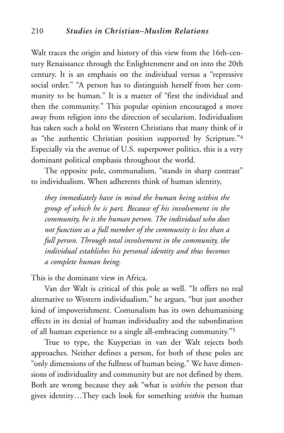Walt traces the origin and history of this view from the 16th-century Renaissance through the Enlightenment and on into the 20th century. It is an emphasis on the individual versus a "repressive social order." "A person has to distinguish herself from her community to be human." It is a matter of "first the individual and then the community." This popular opinion encouraged a move away from religion into the direction of secularism. Individualism has taken such a hold on Western Christians that many think of it as "the authentic Christian position supported by Scripture."4 Especially via the avenue of U.S. superpower politics, this is a very dominant political emphasis throughout the world.

The opposite pole, communalism, "stands in sharp contrast" to individualism. When adherents think of human identity,

*they immediately have in mind the human being within the group of which he is part. Because of his involvement in the community, he is the human person. The individual who does not function as a full member of the community is less than a full person. Through total involvement in the community, the individual establishes his personal identity and thus becomes a complete human being.*

This is the dominant view in Africa.

Van der Walt is critical of this pole as well. "It offers no real alternative to Western individualism," he argues, "but just another kind of impoverishment. Comunalism has its own dehumanising effects in its denial of human individuality and the subordination of all human experience to a single all-embracing community."5

True to type, the Kuyperian in van der Walt rejects both approaches. Neither defines a person, for both of these poles are "only dimensions of the fullness of human being." We have dimensions of individuality and community but are not defined by them. Both are wrong because they ask "what is *within* the person that gives identity…They each look for something *within* the human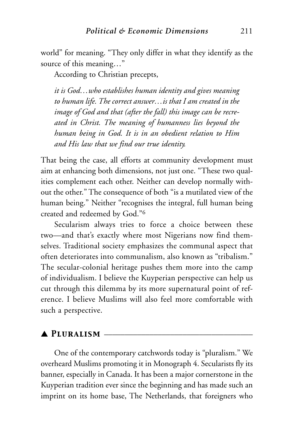world" for meaning. "They only differ in what they identify as the source of this meaning…"

According to Christian precepts,

*it is God…who establishes human identity and gives meaning to human life. The correct answer…is that I am created in the image of God and that (after the fall) this image can be recreated in Christ. The meaning of humanness lies beyond the human being in God. It is in an obedient relation to Him and His law that we find our true identity.*

That being the case, all efforts at community development must aim at enhancing both dimensions, not just one. "These two qualities complement each other. Neither can develop normally without the other." The consequence of both "is a mutilated view of the human being." Neither "recognises the integral, full human being created and redeemed by God."6

Secularism always tries to force a choice between these two—and that's exactly where most Nigerians now find themselves. Traditional society emphasizes the communal aspect that often deteriorates into communalism, also known as "tribalism." The secular-colonial heritage pushes them more into the camp of individualism. I believe the Kuyperian perspective can help us cut through this dilemma by its more supernatural point of reference. I believe Muslims will also feel more comfortable with such a perspective.

#### $\blacktriangle$  PLURALISM  $\blacktriangle$

One of the contemporary catchwords today is "pluralism." We overheard Muslims promoting it in Monograph 4. Secularists fly its banner, especially in Canada. It has been a major cornerstone in the Kuyperian tradition ever since the beginning and has made such an imprint on its home base, The Netherlands, that foreigners who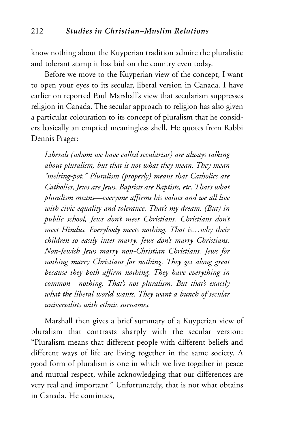know nothing about the Kuyperian tradition admire the pluralistic and tolerant stamp it has laid on the country even today.

Before we move to the Kuyperian view of the concept, I want to open your eyes to its secular, liberal version in Canada. I have earlier on reported Paul Marshall's view that secularism suppresses religion in Canada. The secular approach to religion has also given a particular colouration to its concept of pluralism that he considers basically an emptied meaningless shell. He quotes from Rabbi Dennis Prager:

*Liberals (whom we have called secularists) are always talking about pluralism, but that is not what they mean. They mean "melting-pot." Pluralism (properly) means that Catholics are Catholics, Jews are Jews, Baptists are Baptists, etc. That's what pluralism means—everyone affirms his values and we all live with civic equality and tolerance. That's my dream. (But) in public school, Jews don't meet Christians. Christians don't meet Hindus. Everybody meets nothing. That is…why their children so easily inter-marry. Jews don't marry Christians. Non-Jewish Jews marry non-Christian Christians. Jews for nothing marry Christians for nothing. They get along great because they both affirm nothing. They have everything in common—nothing. That's not pluralism. But that's exactly what the liberal world wants. They want a bunch of secular universalists with ethnic surnames.*

Marshall then gives a brief summary of a Kuyperian view of pluralism that contrasts sharply with the secular version: "Pluralism means that different people with different beliefs and different ways of life are living together in the same society. A good form of pluralism is one in which we live together in peace and mutual respect, while acknowledging that our differences are very real and important." Unfortunately, that is not what obtains in Canada. He continues,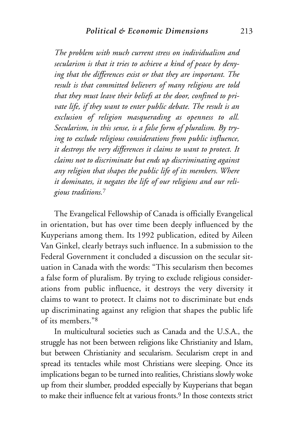*The problem with much current stress on individualism and secularism is that it tries to achieve a kind of peace by denying that the differences exist or that they are important. The result is that committed believers of many religions are told that they must leave their beliefs at the door, confined to private life, if they want to enter public debate. The result is an exclusion of religion masquerading as openness to all. Secularism, in this sense, is a false form of pluralism. By trying to exclude religious considerations from public influence, it destroys the very differences it claims to want to protect. It claims not to discriminate but ends up discriminating against any religion that shapes the public life of its members. Where it dominates, it negates the life of our religions and our religious traditions.*<sup>7</sup>

The Evangelical Fellowship of Canada is officially Evangelical in orientation, but has over time been deeply influenced by the Kuyperians among them. Its 1992 publication, edited by Aileen Van Ginkel, clearly betrays such influence. In a submission to the Federal Government it concluded a discussion on the secular situation in Canada with the words: "This secularism then becomes a false form of pluralism. By trying to exclude religious considerations from public influence, it destroys the very diversity it claims to want to protect. It claims not to discriminate but ends up discriminating against any religion that shapes the public life of its members."8

In multicultural societies such as Canada and the U.S.A., the struggle has not been between religions like Christianity and Islam, but between Christianity and secularism. Secularism crept in and spread its tentacles while most Christians were sleeping. Once its implications began to be turned into realities, Christians slowly woke up from their slumber, prodded especially by Kuyperians that began to make their influence felt at various fronts.<sup>9</sup> In those contexts strict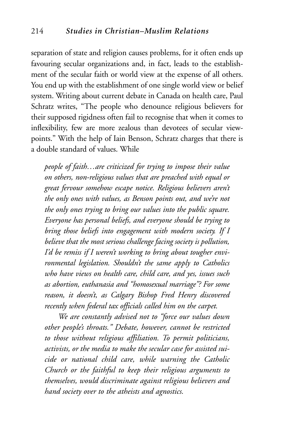separation of state and religion causes problems, for it often ends up favouring secular organizations and, in fact, leads to the establishment of the secular faith or world view at the expense of all others. You end up with the establishment of one single world view or belief system. Writing about current debate in Canada on health care, Paul Schratz writes, "The people who denounce religious believers for their supposed rigidness often fail to recognise that when it comes to inflexibility, few are more zealous than devotees of secular viewpoints." With the help of Iain Benson, Schratz charges that there is a double standard of values. While

*people of faith…are criticized for trying to impose their value on others, non-religious values that are preached with equal or great fervour somehow escape notice. Religious believers aren't the only ones with values, as Benson points out, and we're not the only ones trying to bring our values into the public square. Everyone has personal beliefs, and everyone should be trying to bring those beliefs into engagement with modern society. If I believe that the most serious challenge facing society is pollution, I'd be remiss if I weren't working to bring about tougher environmental legislation. Shouldn't the same apply to Catholics who have views on health care, child care, and yes, issues such as abortion, euthanasia and "homosexual marriage"? For some reason, it doesn't, as Calgary Bishop Fred Henry discovered recently when federal tax officials called him on the carpet.*

*We are constantly advised not to "force our values down other people's throats." Debate, however, cannot be restricted to those without religious affiliation. To permit politicians, activists, or the media to make the secular case for assisted suicide or national child care, while warning the Catholic Church or the faithful to keep their religious arguments to themselves, would discriminate against religious believers and hand society over to the atheists and agnostics.*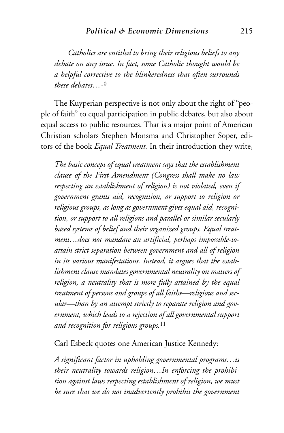*Catholics are entitled to bring their religious beliefs to any debate on any issue. In fact, some Catholic thought would be a helpful corrective to the blinkeredness that often surrounds these debates…*<sup>10</sup>

The Kuyperian perspective is not only about the right of "people of faith" to equal participation in public debates, but also about equal access to public resources. That is a major point of American Christian scholars Stephen Monsma and Christopher Soper, editors of the book *Equal Treatment.* In their introduction they write,

*The basic concept of equal treatment says that the establishment clause of the First Amendment (Congress shall make no law respecting an establishment of religion) is not violated, even if government grants aid, recognition, or support to religion or religious groups, as long as government gives equal aid, recognition, or support to all religions and parallel or similar secularly based systems of belief and their organized groups. Equal treatment…does not mandate an artificial, perhaps impossible-toattain strict separation between government and all of religion in its various manifestations. Instead, it argues that the establishment clause mandates governmental neutrality on matters of religion, a neutrality that is more fully attained by the equal treatment of persons and groups of all faiths—religious and secular—than by an attempt strictly to separate religion and government, which leads to a rejection of all governmental support and recognition for religious groups.*<sup>11</sup>

Carl Esbeck quotes one American Justice Kennedy:

*A significant factor in upholding governmental programs…is their neutrality towards religion…In enforcing the prohibition against laws respecting establishment of religion, we must be sure that we do not inadvertently prohibit the government*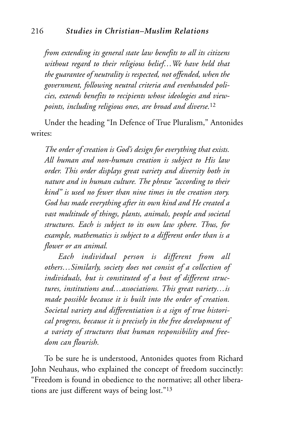*from extending its general state law benefits to all its citizens without regard to their religious belief…We have held that the guarantee of neutrality is respected, not offended, when the government, following neutral criteria and evenhanded policies, extends benefits to recipients whose ideologies and viewpoints, including religious ones, are broad and diverse.*<sup>12</sup>

Under the heading "In Defence of True Pluralism," Antonides writes:

*The order of creation is God's design for everything that exists. All human and non-human creation is subject to His law order. This order displays great variety and diversity both in nature and in human culture. The phrase "according to their kind" is used no fewer than nine times in the creation story. God has made everything after its own kind and He created a vast multitude of things, plants, animals, people and societal structures. Each is subject to its own law sphere. Thus, for example, mathematics is subject to a different order than is a flower or an animal.*

*Each individual person is different from all others…Similarly, society does not consist of a collection of individuals, but is constituted of a host of different structures, institutions and…associations. This great variety…is made possible because it is built into the order of creation. Societal variety and differentiation is a sign of true historical progress, because it is precisely in the free development of a variety of structures that human responsibility and freedom can flourish.*

To be sure he is understood, Antonides quotes from Richard John Neuhaus, who explained the concept of freedom succinctly: "Freedom is found in obedience to the normative; all other liberations are just different ways of being lost."13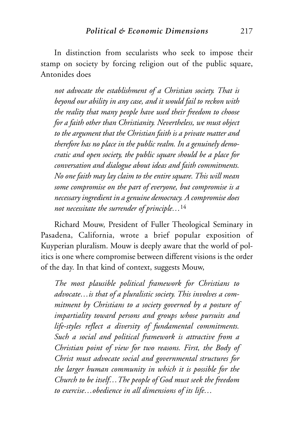In distinction from secularists who seek to impose their stamp on society by forcing religion out of the public square, Antonides does

*not advocate the establishment of a Christian society. That is beyond our ability in any case, and it would fail to reckon with the reality that many people have used their freedom to choose for a faith other than Christianity. Nevertheless, we must object to the argument that the Christian faith is a private matter and therefore has no place in the public realm. In a genuinely democratic and open society, the public square should be a place for conversation and dialogue about ideas and faith commitments. No one faith may lay claim to the entire square. This will mean some compromise on the part of everyone, but compromise is a necessary ingredient in a genuine democracy. A compromise does not necessitate the surrender of principle…*<sup>14</sup>

Richard Mouw, President of Fuller Theological Seminary in Pasadena, California, wrote a brief popular exposition of Kuyperian pluralism. Mouw is deeply aware that the world of politics is one where compromise between different visions is the order of the day. In that kind of context, suggests Mouw,

*The most plausible political framework for Christians to advocate…is that of a pluralistic society. This involves a commitment by Christians to a society governed by a posture of impartiality toward persons and groups whose pursuits and life-styles reflect a diversity of fundamental commitments. Such a social and political framework is attractive from a Christian point of view for two reasons. First, the Body of Christ must advocate social and governmental structures for the larger human community in which it is possible for the Church to be itself…The people of God must seek the freedom to exercise…obedience in all dimensions of its life…*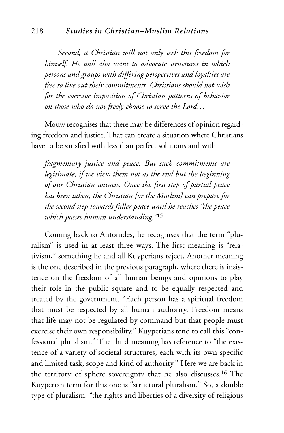#### 218 *Studies in Christian–Muslim Relations*

*Second, a Christian will not only seek this freedom for himself. He will also want to advocate structures in which persons and groups with differing perspectives and loyalties are free to live out their commitments. Christians should not wish for the coercive imposition of Christian patterns of behavior on those who do not freely choose to serve the Lord…*

Mouw recognises that there may be differences of opinion regarding freedom and justice. That can create a situation where Christians have to be satisfied with less than perfect solutions and with

*fragmentary justice and peace. But such commitments are legitimate, if we view them not as the end but the beginning of our Christian witness. Once the first step of partial peace has been taken, the Christian [or the Muslim] can prepare for the second step towards fuller peace until he reaches "the peace which passes human understanding."*<sup>15</sup>

Coming back to Antonides, he recognises that the term "pluralism" is used in at least three ways. The first meaning is "relativism," something he and all Kuyperians reject. Another meaning is the one described in the previous paragraph, where there is insistence on the freedom of all human beings and opinions to play their role in the public square and to be equally respected and treated by the government. "Each person has a spiritual freedom that must be respected by all human authority. Freedom means that life may not be regulated by command but that people must exercise their own responsibility." Kuyperians tend to call this "confessional pluralism." The third meaning has reference to "the existence of a variety of societal structures, each with its own specific and limited task, scope and kind of authority." Here we are back in the territory of sphere sovereignty that he also discusses.16 The Kuyperian term for this one is "structural pluralism." So, a double type of pluralism: "the rights and liberties of a diversity of religious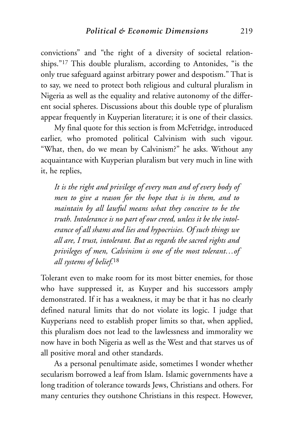convictions" and "the right of a diversity of societal relationships."17 This double pluralism, according to Antonides, "is the only true safeguard against arbitrary power and despotism." That is to say, we need to protect both religious and cultural pluralism in Nigeria as well as the equality and relative autonomy of the different social spheres. Discussions about this double type of pluralism appear frequently in Kuyperian literature; it is one of their classics.

My final quote for this section is from McFetridge, introduced earlier, who promoted political Calvinism with such vigour. "What, then, do we mean by Calvinism?" he asks. Without any acquaintance with Kuyperian pluralism but very much in line with it, he replies,

*It is the right and privilege of every man and of every body of men to give a reason for the hope that is in them, and to maintain by all lawful means what they conceive to be the truth. Intolerance is no part of our creed, unless it be the intolerance of all shams and lies and hypocrisies. Of such things we all are, I trust, intolerant. But as regards the sacred rights and privileges of men, Calvinism is one of the most tolerant…of all systems of belief.*<sup>18</sup>

Tolerant even to make room for its most bitter enemies, for those who have suppressed it, as Kuyper and his successors amply demonstrated. If it has a weakness, it may be that it has no clearly defined natural limits that do not violate its logic. I judge that Kuyperians need to establish proper limits so that, when applied, this pluralism does not lead to the lawlessness and immorality we now have in both Nigeria as well as the West and that starves us of all positive moral and other standards.

As a personal penultimate aside, sometimes I wonder whether secularism borrowed a leaf from Islam. Islamic governments have a long tradition of tolerance towards Jews, Christians and others. For many centuries they outshone Christians in this respect. However,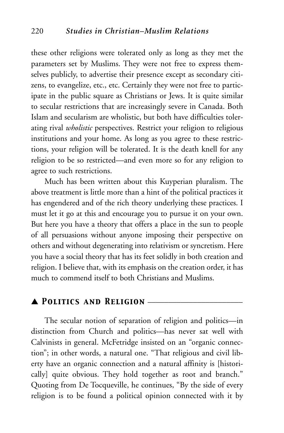these other religions were tolerated only as long as they met the parameters set by Muslims. They were not free to express themselves publicly, to advertise their presence except as secondary citizens, to evangelize, etc., etc. Certainly they were not free to participate in the public square as Christians or Jews. It is quite similar to secular restrictions that are increasingly severe in Canada. Both Islam and secularism are wholistic, but both have difficulties tolerating rival *wholistic* perspectives. Restrict your religion to religious institutions and your home. As long as you agree to these restrictions, your religion will be tolerated. It is the death knell for any religion to be so restricted—and even more so for any religion to agree to such restrictions.

Much has been written about this Kuyperian pluralism. The above treatment is little more than a hint of the political practices it has engendered and of the rich theory underlying these practices. I must let it go at this and encourage you to pursue it on your own. But here you have a theory that offers a place in the sun to people of all persuasions without anyone imposing their perspective on others and without degenerating into relativism or syncretism. Here you have a social theory that has its feet solidly in both creation and religion. I believe that, with its emphasis on the creation order, it has much to commend itself to both Christians and Muslims.

## ▲ *Politics and Religion* \_\_\_\_\_\_\_\_\_\_\_\_\_\_\_\_\_\_\_\_\_\_\_

The secular notion of separation of religion and politics—in distinction from Church and politics—has never sat well with Calvinists in general. McFetridge insisted on an "organic connection"; in other words, a natural one. "That religious and civil liberty have an organic connection and a natural affinity is [historically] quite obvious. They hold together as root and branch." Quoting from De Tocqueville, he continues, "By the side of every religion is to be found a political opinion connected with it by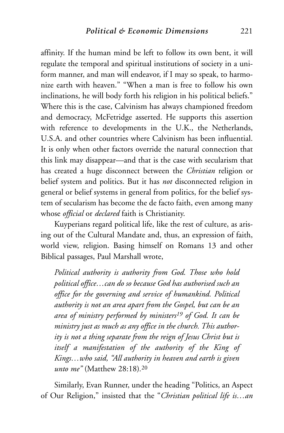affinity. If the human mind be left to follow its own bent, it will regulate the temporal and spiritual institutions of society in a uniform manner, and man will endeavor, if I may so speak, to harmonize earth with heaven." "When a man is free to follow his own inclinations, he will body forth his religion in his political beliefs." Where this is the case, Calvinism has always championed freedom and democracy, McFetridge asserted. He supports this assertion with reference to developments in the U.K., the Netherlands, U.S.A. and other countries where Calvinism has been influential. It is only when other factors override the natural connection that this link may disappear—and that is the case with secularism that has created a huge disconnect between the *Christian* religion or belief system and politics. But it has *not* disconnected religion in general or belief systems in general from politics, for the belief system of secularism has become the de facto faith, even among many whose *official* or *declared* faith is Christianity.

Kuyperians regard political life, like the rest of culture, as arising out of the Cultural Mandate and, thus, an expression of faith, world view, religion. Basing himself on Romans 13 and other Biblical passages, Paul Marshall wrote,

*Political authority is authority from God. Those who hold political office…can do so because God has authorised such an office for the governing and service of humankind. Political authority is not an area apart from the Gospel, but can be an area of ministry performed by ministers19 of God. It can be ministry just as much as any office in the church. This authority is not a thing separate from the reign of Jesus Christ but is itself a manifestation of the authority of the King of Kings…who said, "All authority in heaven and earth is given unto me"* (Matthew 28:18)*.*<sup>20</sup>

Similarly, Evan Runner, under the heading "Politics, an Aspect of Our Religion," insisted that the "*Christian political life is…an*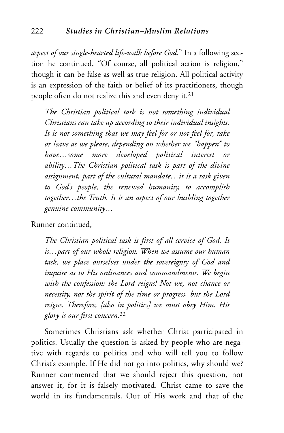*aspect of our single-hearted life-walk before God*." In a following section he continued, "Of course, all political action is religion," though it can be false as well as true religion. All political activity is an expression of the faith or belief of its practitioners, though people often do not realize this and even deny it.21

*The Christian political task is not something individual Christians can take up according to their individual insights. It is not something that we may feel for or not feel for, take or leave as we please, depending on whether we "happen" to have…some more developed political interest or ability…The Christian political task is part of the divine assignment, part of the cultural mandate…it is a task given to God's people, the renewed humanity, to accomplish together…the Truth. It is an aspect of our building together genuine community…*

Runner continued,

*The Christian political task is first of all service of God. It is…part of our whole religion. When we assume our human task, we place ourselves under the sovereignty of God and inquire as to His ordinances and commandments. We begin with the confession: the Lord reigns! Not we, not chance or necessity, not the spirit of the time or progress, but the Lord reigns. Therefore, [also in politics] we must obey Him. His glory is our first concern.*<sup>22</sup>

Sometimes Christians ask whether Christ participated in politics. Usually the question is asked by people who are negative with regards to politics and who will tell you to follow Christ's example. If He did not go into politics, why should we? Runner commented that we should reject this question, not answer it, for it is falsely motivated. Christ came to save the world in its fundamentals. Out of His work and that of the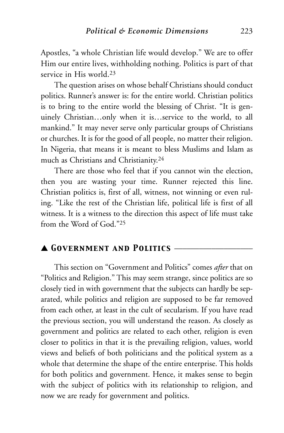Apostles, "a whole Christian life would develop." We are to offer Him our entire lives, withholding nothing. Politics is part of that service in His world.23

The question arises on whose behalf Christians should conduct politics. Runner's answer is: for the entire world. Christian politics is to bring to the entire world the blessing of Christ. "It is genuinely Christian…only when it is…service to the world, to all mankind." It may never serve only particular groups of Christians or churches. It is for the good of all people, no matter their religion. In Nigeria, that means it is meant to bless Muslims and Islam as much as Christians and Christianity.24

There are those who feel that if you cannot win the election, then you are wasting your time. Runner rejected this line. Christian politics is, first of all, witness, not winning or even ruling. "Like the rest of the Christian life, political life is first of all witness. It is a witness to the direction this aspect of life must take from the Word of God<sup>"25</sup>

## ▲ *Government and Politics* \_\_\_\_\_\_\_\_\_\_\_\_\_\_\_\_\_\_\_

This section on "Government and Politics" comes *after* that on "Politics and Religion." This may seem strange, since politics are so closely tied in with government that the subjects can hardly be separated, while politics and religion are supposed to be far removed from each other, at least in the cult of secularism. If you have read the previous section, you will understand the reason. As closely as government and politics are related to each other, religion is even closer to politics in that it is the prevailing religion, values, world views and beliefs of both politicians and the political system as a whole that determine the shape of the entire enterprise. This holds for both politics and government. Hence, it makes sense to begin with the subject of politics with its relationship to religion, and now we are ready for government and politics.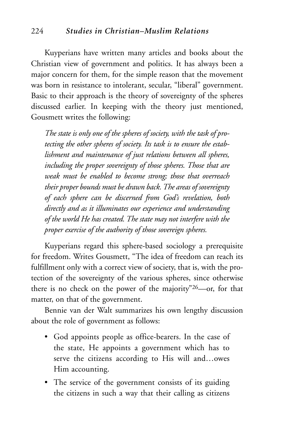Kuyperians have written many articles and books about the Christian view of government and politics. It has always been a major concern for them, for the simple reason that the movement was born in resistance to intolerant, secular, "liberal" government. Basic to their approach is the theory of sovereignty of the spheres discussed earlier. In keeping with the theory just mentioned, Gousmett writes the following:

*The state is only one of the spheres of society, with the task of protecting the other spheres of society. Its task is to ensure the establishment and maintenance of just relations between all spheres, including the proper sovereignty of those spheres. Those that are weak must be enabled to become strong; those that overreach their proper bounds must be drawn back. The areas of sovereignty of each sphere can be discerned from God's revelation, both directly and as it illuminates our experience and understanding of the world He has created. The state may not interfere with the proper exercise of the authority of those sovereign spheres.*

Kuyperians regard this sphere-based sociology a prerequisite for freedom. Writes Gousmett, "The idea of freedom can reach its fulfillment only with a correct view of society, that is, with the protection of the sovereignty of the various spheres, since otherwise there is no check on the power of the majority"26—or, for that matter, on that of the government.

Bennie van der Walt summarizes his own lengthy discussion about the role of government as follows:

- God appoints people as office-bearers. In the case of the state, He appoints a government which has to serve the citizens according to His will and…owes Him accounting.
- The service of the government consists of its guiding the citizens in such a way that their calling as citizens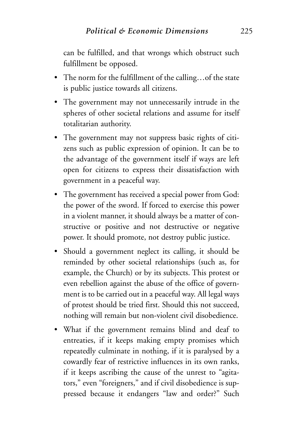can be fulfilled, and that wrongs which obstruct such fulfillment be opposed.

- The norm for the fulfillment of the calling…of the state is public justice towards all citizens.
- The government may not unnecessarily intrude in the spheres of other societal relations and assume for itself totalitarian authority.
- The government may not suppress basic rights of citizens such as public expression of opinion. It can be to the advantage of the government itself if ways are left open for citizens to express their dissatisfaction with government in a peaceful way.
- The government has received a special power from God: the power of the sword. If forced to exercise this power in a violent manner, it should always be a matter of constructive or positive and not destructive or negative power. It should promote, not destroy public justice.
- Should a government neglect its calling, it should be reminded by other societal relationships (such as, for example, the Church) or by its subjects. This protest or even rebellion against the abuse of the office of government is to be carried out in a peaceful way. All legal ways of protest should be tried first. Should this not succeed, nothing will remain but non-violent civil disobedience.
- What if the government remains blind and deaf to entreaties, if it keeps making empty promises which repeatedly culminate in nothing, if it is paralysed by a cowardly fear of restrictive influences in its own ranks, if it keeps ascribing the cause of the unrest to "agitators," even "foreigners," and if civil disobedience is suppressed because it endangers "law and order?" Such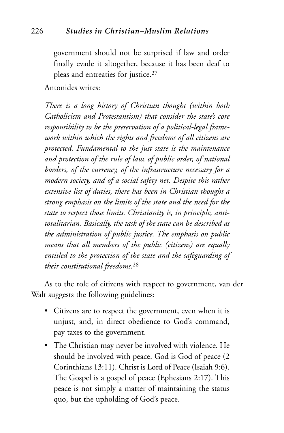government should not be surprised if law and order finally evade it altogether, because it has been deaf to pleas and entreaties for justice.27

Antonides writes:

*There is a long history of Christian thought (within both Catholicism and Protestantism) that consider the state's core responsibility to be the preservation of a political-legal framework within which the rights and freedoms of all citizens are protected. Fundamental to the just state is the maintenance and protection of the rule of law, of public order, of national borders, of the currency, of the infrastructure necessary for a modern society, and of a social safety net. Despite this rather extensive list of duties, there has been in Christian thought a strong emphasis on the limits of the state and the need for the state to respect those limits. Christianity is, in principle, antitotalitarian. Basically, the task of the state can be described as the administration of public justice. The emphasis on public means that all members of the public (citizens) are equally entitled to the protection of the state and the safeguarding of their constitutional freedoms.*<sup>28</sup>

As to the role of citizens with respect to government, van der Walt suggests the following guidelines:

- Citizens are to respect the government, even when it is unjust, and, in direct obedience to God's command, pay taxes to the government.
- The Christian may never be involved with violence. He should be involved with peace. God is God of peace (2 Corinthians 13:11). Christ is Lord of Peace (Isaiah 9:6). The Gospel is a gospel of peace (Ephesians 2:17). This peace is not simply a matter of maintaining the status quo, but the upholding of God's peace.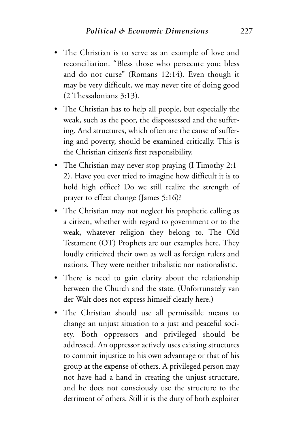- The Christian is to serve as an example of love and reconciliation. "Bless those who persecute you; bless and do not curse" (Romans 12:14). Even though it may be very difficult, we may never tire of doing good (2 Thessalonians 3:13).
- The Christian has to help all people, but especially the weak, such as the poor, the dispossessed and the suffering. And structures, which often are the cause of suffering and poverty, should be examined critically. This is the Christian citizen's first responsibility.
- The Christian may never stop praying (I Timothy 2:1-2). Have you ever tried to imagine how difficult it is to hold high office? Do we still realize the strength of prayer to effect change (James 5:16)?
- The Christian may not neglect his prophetic calling as a citizen, whether with regard to government or to the weak, whatever religion they belong to. The Old Testament (OT) Prophets are our examples here. They loudly criticized their own as well as foreign rulers and nations. They were neither tribalistic nor nationalistic.
- There is need to gain clarity about the relationship between the Church and the state. (Unfortunately van der Walt does not express himself clearly here.)
- The Christian should use all permissible means to change an unjust situation to a just and peaceful society. Both oppressors and privileged should be addressed. An oppressor actively uses existing structures to commit injustice to his own advantage or that of his group at the expense of others. A privileged person may not have had a hand in creating the unjust structure, and he does not consciously use the structure to the detriment of others. Still it is the duty of both exploiter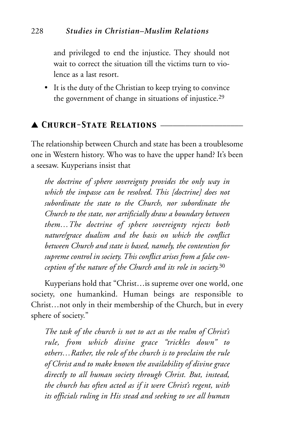and privileged to end the injustice. They should not wait to correct the situation till the victims turn to violence as a last resort.

• It is the duty of the Christian to keep trying to convince the government of change in situations of injustice.29

## ▲ *Church-State Relations* \_\_\_\_\_\_\_\_\_\_\_\_\_\_\_\_\_\_\_\_

The relationship between Church and state has been a troublesome one in Western history. Who was to have the upper hand? It's been a seesaw. Kuyperians insist that

*the doctrine of sphere sovereignty provides the only way in which the impasse can be resolved. This [doctrine] does not subordinate the state to the Church, nor subordinate the Church to the state, nor artificially draw a boundary between them…The doctrine of sphere sovereignty rejects both nature/grace dualism and the basis on which the conflict between Church and state is based, namely, the contention for supreme control in society. This conflict arises from a false conception of the nature of the Church and its role in society.*<sup>30</sup>

Kuyperians hold that "Christ…is supreme over one world, one society, one humankind. Human beings are responsible to Christ…not only in their membership of the Church, but in every sphere of society."

*The task of the church is not to act as the realm of Christ's rule, from which divine grace "trickles down" to others…Rather, the role of the church is to proclaim the rule of Christ and to make known the availability of divine grace directly to all human society through Christ. But, instead, the church has often acted as if it were Christ's regent, with its officials ruling in His stead and seeking to see all human*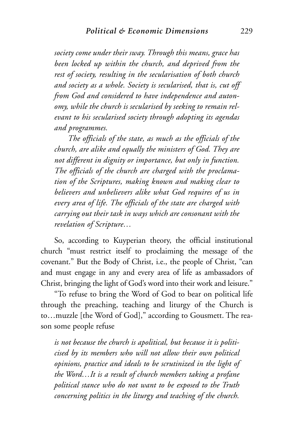*society come under their sway. Through this means, grace has been locked up within the church, and deprived from the rest of society, resulting in the secularisation of both church and society as a whole. Society is secularised, that is, cut off from God and considered to have independence and autonomy, while the church is secularised by seeking to remain relevant to his secularised society through adopting its agendas and programmes.*

*The officials of the state, as much as the officials of the church, are alike and equally the ministers of God. They are not different in dignity or importance, but only in function. The officials of the church are charged with the proclamation of the Scriptures, making known and making clear to believers and unbelievers alike what God requires of us in every area of life. The officials of the state are charged with carrying out their task in ways which are consonant with the revelation of Scripture…*

So, according to Kuyperian theory, the official institutional church "must restrict itself to proclaiming the message of the covenant." But the Body of Christ, i.e., the people of Christ, "can and must engage in any and every area of life as ambassadors of Christ, bringing the light of God's word into their work and leisure."

"To refuse to bring the Word of God to bear on political life through the preaching, teaching and liturgy of the Church is to…muzzle [the Word of God]," according to Gousmett. The reason some people refuse

*is not because the church is apolitical, but because it is politicised by its members who will not allow their own political opinions, practice and ideals to be scrutinized in the light of the Word…It is a result of church members taking a profane political stance who do not want to be exposed to the Truth concerning politics in the liturgy and teaching of the church.*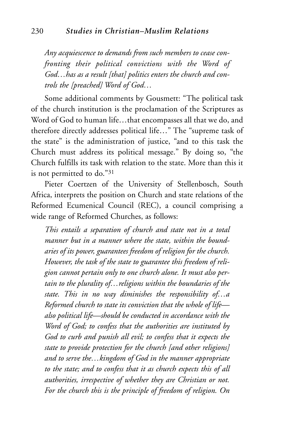*Any acquiescence to demands from such members to cease confronting their political convictions with the Word of God…has as a result [that] politics enters the church and controls the [preached] Word of God…*

Some additional comments by Gousmett: "The political task of the church institution is the proclamation of the Scriptures as Word of God to human life…that encompasses all that we do, and therefore directly addresses political life…" The "supreme task of the state" is the administration of justice, "and to this task the Church must address its political message." By doing so, "the Church fulfills its task with relation to the state. More than this it is not permitted to do."31

Pieter Coertzen of the University of Stellenbosch, South Africa, interprets the position on Church and state relations of the Reformed Ecumenical Council (REC), a council comprising a wide range of Reformed Churches, as follows:

*This entails a separation of church and state not in a total manner but in a manner where the state, within the boundaries of its power, guarantees freedom of religion for the church. However, the task of the state to guarantee this freedom of religion cannot pertain only to one church alone. It must also pertain to the plurality of…religions within the boundaries of the state. This in no way diminishes the responsibility of…a Reformed church to state its conviction that the whole of life also political life—should be conducted in accordance with the Word of God; to confess that the authorities are instituted by God to curb and punish all evil; to confess that it expects the state to provide protection for the church [and other religions] and to serve the…kingdom of God in the manner appropriate to the state; and to confess that it as church expects this of all authorities, irrespective of whether they are Christian or not. For the church this is the principle of freedom of religion. On*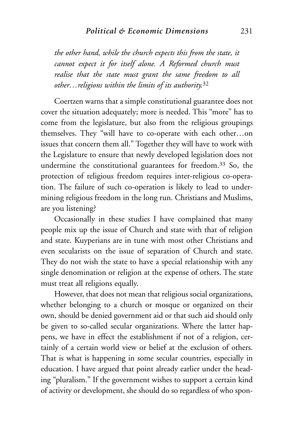#### *Political & Economic Dimensions* 231

*the other hand, while the church expects this from the state, it cannot expect it for itself alone. A Reformed church must realise that the state must grant the same freedom to all other…religions within the limits of its authority.*<sup>32</sup>

Coertzen warns that a simple constitutional guarantee does not cover the situation adequately; more is needed. This "more" has to come from the legislature, but also from the religious groupings themselves. They "will have to co-operate with each other…on issues that concern them all." Together they will have to work with the Legislature to ensure that newly developed legislation does not undermine the constitutional guarantees for freedom.33 So, the protection of religious freedom requires inter-religious co-operation. The failure of such co-operation is likely to lead to undermining religious freedom in the long run. Christians and Muslims, are you listening?

Occasionally in these studies I have complained that many people mix up the issue of Church and state with that of religion and state. Kuyperians are in tune with most other Christians and even secularists on the issue of separation of Church and state. They do not wish the state to have a special relationship with any single denomination or religion at the expense of others. The state must treat all religions equally.

However, that does not mean that religious social organizations, whether belonging to a church or mosque or organized on their own, should be denied government aid or that such aid should only be given to so-called secular organizations. Where the latter happens, we have in effect the establishment if not of a religion, certainly of a certain world view or belief at the exclusion of others. That is what is happening in some secular countries, especially in education. I have argued that point already earlier under the heading "pluralism." If the government wishes to support a certain kind of activity or development, she should do so regardless of who spon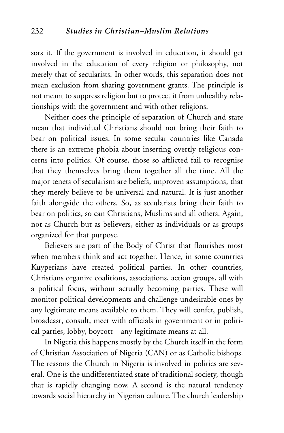sors it. If the government is involved in education, it should get involved in the education of every religion or philosophy, not merely that of secularists. In other words, this separation does not mean exclusion from sharing government grants. The principle is not meant to suppress religion but to protect it from unhealthy relationships with the government and with other religions.

Neither does the principle of separation of Church and state mean that individual Christians should not bring their faith to bear on political issues. In some secular countries like Canada there is an extreme phobia about inserting overtly religious concerns into politics. Of course, those so afflicted fail to recognise that they themselves bring them together all the time. All the major tenets of secularism are beliefs, unproven assumptions, that they merely believe to be universal and natural. It is just another faith alongside the others. So, as secularists bring their faith to bear on politics, so can Christians, Muslims and all others. Again, not as Church but as believers, either as individuals or as groups organized for that purpose.

Believers are part of the Body of Christ that flourishes most when members think and act together. Hence, in some countries Kuyperians have created political parties. In other countries, Christians organize coalitions, associations, action groups, all with a political focus, without actually becoming parties. These will monitor political developments and challenge undesirable ones by any legitimate means available to them. They will confer, publish, broadcast, consult, meet with officials in government or in political parties, lobby, boycott—any legitimate means at all.

In Nigeria this happens mostly by the Church itself in the form of Christian Association of Nigeria (CAN) or as Catholic bishops. The reasons the Church in Nigeria is involved in politics are several. One is the undifferentiated state of traditional society, though that is rapidly changing now. A second is the natural tendency towards social hierarchy in Nigerian culture. The church leadership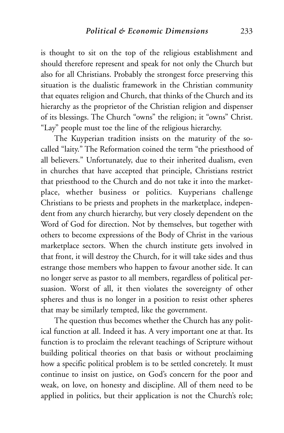is thought to sit on the top of the religious establishment and should therefore represent and speak for not only the Church but also for all Christians. Probably the strongest force preserving this situation is the dualistic framework in the Christian community that equates religion and Church, that thinks of the Church and its hierarchy as the proprietor of the Christian religion and dispenser of its blessings. The Church "owns" the religion; it "owns" Christ. "Lay" people must toe the line of the religious hierarchy.

The Kuyperian tradition insists on the maturity of the socalled "laity." The Reformation coined the term "the priesthood of all believers." Unfortunately, due to their inherited dualism, even in churches that have accepted that principle, Christians restrict that priesthood to the Church and do not take it into the marketplace, whether business or politics. Kuyperians challenge Christians to be priests and prophets in the marketplace, independent from any church hierarchy, but very closely dependent on the Word of God for direction. Not by themselves, but together with others to become expressions of the Body of Christ in the various marketplace sectors. When the church institute gets involved in that front, it will destroy the Church, for it will take sides and thus estrange those members who happen to favour another side. It can no longer serve as pastor to all members, regardless of political persuasion. Worst of all, it then violates the sovereignty of other spheres and thus is no longer in a position to resist other spheres that may be similarly tempted, like the government.

The question thus becomes whether the Church has any political function at all. Indeed it has. A very important one at that. Its function is to proclaim the relevant teachings of Scripture without building political theories on that basis or without proclaiming how a specific political problem is to be settled concretely. It must continue to insist on justice, on God's concern for the poor and weak, on love, on honesty and discipline. All of them need to be applied in politics, but their application is not the Church's role;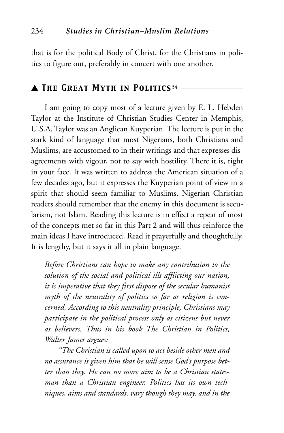that is for the political Body of Christ, for the Christians in politics to figure out, preferably in concert with one another.

## ▲ *The Great Myth in Politics*<sup>34</sup> \_\_\_\_\_\_\_\_\_\_\_\_\_\_\_

I am going to copy most of a lecture given by E. L. Hebden Taylor at the Institute of Christian Studies Center in Memphis, U.S.A. Taylor was an Anglican Kuyperian. The lecture is put in the stark kind of language that most Nigerians, both Christians and Muslims, are accustomed to in their writings and that expresses disagreements with vigour, not to say with hostility. There it is, right in your face. It was written to address the American situation of a few decades ago, but it expresses the Kuyperian point of view in a spirit that should seem familiar to Muslims. Nigerian Christian readers should remember that the enemy in this document is secularism, not Islam. Reading this lecture is in effect a repeat of most of the concepts met so far in this Part 2 and will thus reinforce the main ideas I have introduced. Read it prayerfully and thoughtfully. It is lengthy, but it says it all in plain language.

*Before Christians can hope to make any contribution to the solution of the social and political ills afflicting our nation, it is imperative that they first dispose of the secular humanist myth of the neutrality of politics so far as religion is concerned. According to this neutrality principle, Christians may participate in the political process only as citizens but never as believers. Thus in his book The Christian in Politics, Walter James argues:*

*"The Christian is called upon to act beside other men and no assurance is given him that he will sense God's purpose better than they. He can no more aim to be a Christian statesman than a Christian engineer. Politics has its own techniques, aims and standards, vary though they may, and in the*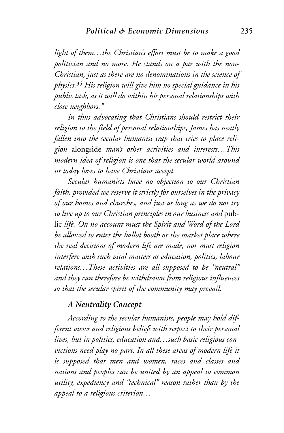*light of them…the Christian's effort must be to make a good politician and no more. He stands on a par with the non-Christian, just as there are no denominations in the science of physics.*<sup>35</sup> *His religion will give him no special guidance in his public task, as it will do within his personal relationships with close neighbors."*

*In thus advocating that Christians should restrict their religion to the field of personal relationships, James has neatly fallen into the secular humanist trap that tries to place religion* alongside *man's other activities and interests…This modern idea of religion is one that the secular world around us today loves to have Christians accept.*

*Secular humanists have no objection to our Christian faith, provided we reserve it strictly for ourselves in the privacy of our homes and churches, and just as long as we do not try to live up to our Christian principles in our business and* public *life. On no account must the Spirit and Word of the Lord be allowed to enter the ballot booth or the market place where the real decisions of modern life are made, nor must religion interfere with such vital matters as education, politics, labour relations…These activities are all supposed to be "neutral" and they can therefore be withdrawn from religious influences so that the secular spirit of the community may prevail.*

## *A Neutrality Concept*

*According to the secular humanists, people may hold different views and religious beliefs with respect to their personal lives, but in politics, education and…such basic religious convictions need play no part. In all these areas of modern life it is supposed that men and women, races and classes and nations and peoples can be united by an appeal to common utility, expediency and "technical" reason rather than by the appeal to a religious criterion…*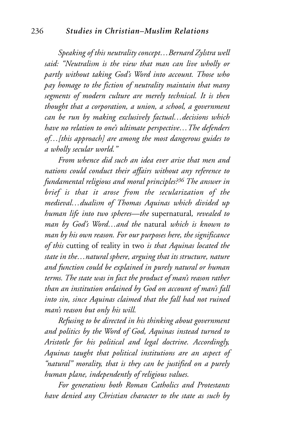*Speaking of this neutrality concept…Bernard Zylstra well said: "Neutralism is the view that man can live wholly or partly without taking God's Word into account. Those who pay homage to the fiction of neutrality maintain that many segments of modern culture are merely technical. It is then thought that a corporation, a union, a school, a government can be run by making exclusively factual…decisions which have no relation to one's ultimate perspective…The defenders of…[this approach] are among the most dangerous guides to a wholly secular world."*

*From whence did such an idea ever arise that men and nations could conduct their affairs without any reference to fundamental religious and moral principles?36 The answer in brief is that it arose from the secularization of the medieval…dualism of Thomas Aquinas which divided up human life into two spheres—the* supernatural*, revealed to man by God's Word…and the* natural *which is known to man by his own reason. For our purposes here, the significance of this* cutting of reality in two *is that Aquinas located the state in the…natural sphere, arguing that its structure, nature and function could be explained in purely natural or human terms. The state was in fact the product of man's reason rather than an institution ordained by God on account of man's fall into sin, since Aquinas claimed that the fall had not ruined man's reason but only his will.*

*Refusing to be directed in his thinking about government and politics by the Word of God, Aquinas instead turned to Aristotle for his political and legal doctrine. Accordingly, Aquinas taught that political institutions are an aspect of "natural" morality, that is they can be justified on a purely human plane, independently of religious values.*

*For generations both Roman Catholics and Protestants have denied any Christian character to the state as such by*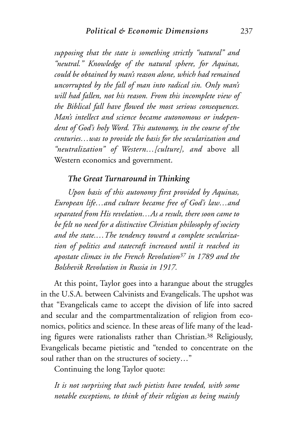*supposing that the state is something strictly "natural" and "neutral." Knowledge of the natural sphere, for Aquinas, could be obtained by man's reason alone, which had remained uncorrupted by the fall of man into radical sin. Only man's will had fallen, not his reason. From this incomplete view of the Biblical fall have flowed the most serious consequences. Man's intellect and science became autonomous or independent of God's holy Word. This autonomy, in the course of the centuries…was to provide the basis for the secularization and "neutralization" of Western…[culture], and* above all Western economics and government.

## *The Great Turnaround in Thinking*

*Upon basis of this autonomy first provided by Aquinas, European life…and culture became free of God's law…and separated from His revelation…As a result, there soon came to be felt no need for a distinctive Christian philosophy of society and the state.…The tendency toward a complete secularization of politics and statecraft increased until it reached its apostate climax in the French Revolution37 in 1789 and the Bolshevik Revolution in Russia in 1917.*

At this point, Taylor goes into a harangue about the struggles in the U.S.A. between Calvinists and Evangelicals. The upshot was that "Evangelicals came to accept the division of life into sacred and secular and the compartmentalization of religion from economics, politics and science. In these areas of life many of the leading figures were rationalists rather than Christian.38 Religiously, Evangelicals became pietistic and "tended to concentrate on the soul rather than on the structures of society…"

Continuing the long Taylor quote:

*It is not surprising that such pietists have tended, with some notable exceptions, to think of their religion as being mainly*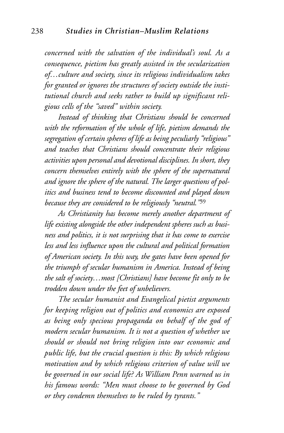*concerned with the salvation of the individual's soul. As a consequence, pietism has greatly assisted in the secularization of…culture and society, since its religious individualism takes for granted or ignores the structures of society outside the institutional church and seeks rather to build up significant religious cells of the "saved" within society.*

*Instead of thinking that Christians should be concerned with the reformation of the whole of life, pietism demands the segregation of certain spheres of life as being peculiarly "religious" and teaches that Christians should concentrate their religious activities upon personal and devotional disciplines. In short, they concern themselves entirely with the sphere of the supernatural and ignore the sphere of the natural. The larger questions of politics and business tend to become discounted and played down because they are considered to be religiously "neutral."*<sup>39</sup>

*As Christianity has become merely another department of life existing alongside the other independent spheres such as business and politics, it is not surprising that it has come to exercise less and less influence upon the cultural and political formation of American society. In this way, the gates have been opened for the triumph of secular humanism in America. Instead of being the salt of society…most [Christians] have become fit only to be trodden down under the feet of unbelievers.*

*The secular humanist and Evangelical pietist arguments for keeping religion out of politics and economics are exposed as being only specious propaganda on behalf of the god of modern secular humanism. It is not a question of whether we should or should not bring religion into our economic and public life, but the crucial question is this: By which religious motivation and by which religious criterion of value will we be governed in our social life? As William Penn warned us in his famous words: "Men must choose to be governed by God or they condemn themselves to be ruled by tyrants."*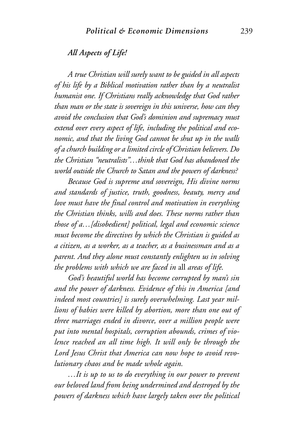## *All Aspects of Life!*

*A true Christian will surely want to be guided in all aspects of his life by a Biblical motivation rather than by a neutralist humanist one. If Christians really acknowledge that God rather than man or the state is sovereign in this universe, how can they avoid the conclusion that God's dominion and supremacy must extend over every aspect of life, including the political and economic, and that the living God cannot be shut up in the walls of a church building or a limited circle of Christian believers. Do the Christian "neutralists"…think that God has abandoned the world outside the Church to Satan and the powers of darkness?*

*Because God is supreme and sovereign, His divine norms and standards of justice, truth, goodness, beauty, mercy and love must have the final control and motivation in everything the Christian thinks, wills and does. These norms rather than those of a…[disobedient] political, legal and economic science must become the directives by which the Christian is guided as a citizen, as a worker, as a teacher, as a businessman and as a parent. And they alone must constantly enlighten us in solving the problems with which we are faced in* all *areas of life.*

*God's beautiful world has become corrupted by man's sin and the power of darkness. Evidence of this in America [and indeed most countries] is surely overwhelming. Last year millions of babies were killed by abortion, more than one out of three marriages ended in divorce, over a million people were put into mental hospitals, corruption abounds, crimes of violence reached an all time high. It will only be through the Lord Jesus Christ that America can now hope to avoid revolutionary chaos and be made whole again.*

*…It is up to us to do everything in our power to prevent our beloved land from being undermined and destroyed by the powers of darkness which have largely taken over the political*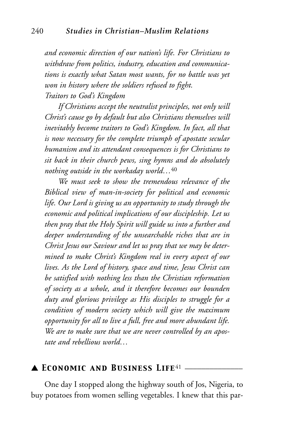*and economic direction of our nation's life. For Christians to withdraw from politics, industry, education and communications is exactly what Satan most wants, for no battle was yet won in history where the soldiers refused to fight. Traitors to God's Kingdom*

*If Christians accept the neutralist principles, not only will Christ's cause go by default but also Christians themselves will inevitably become traitors to God's Kingdom. In fact, all that is now necessary for the complete triumph of apostate secular humanism and its attendant consequences is for Christians to sit back in their church pews, sing hymns and do absolutely nothing outside in the workaday world…*<sup>40</sup>

*We must seek to show the tremendous relevance of the Biblical view of man-in-society for political and economic life. Our Lord is giving us an opportunity to study through the economic and political implications of our discipleship. Let us then pray that the Holy Spirit will guide us into a further and deeper understanding of the unsearchable riches that are in Christ Jesus our Saviour and let us pray that we may be determined to make Christ's Kingdom real in every aspect of our lives. As the Lord of history, space and time, Jesus Christ can be satisfied with nothing less than the Christian reformation of society as a whole, and it therefore becomes our bounden duty and glorious privilege as His disciples to struggle for a condition of modern society which will give the maximum opportunity for all to live a full, free and more abundant life. We are to make sure that we are never controlled by an apostate and rebellious world…*

## ▲ *Economic and Business Life*<sup>41</sup> \_\_\_\_\_\_\_\_\_\_\_\_\_\_

One day I stopped along the highway south of Jos, Nigeria, to buy potatoes from women selling vegetables. I knew that this par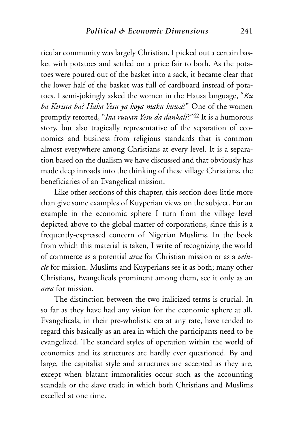ticular community was largely Christian. I picked out a certain basket with potatoes and settled on a price fair to both. As the potatoes were poured out of the basket into a sack, it became clear that the lower half of the basket was full of cardboard instead of potatoes. I semi-jokingly asked the women in the Hausa language, "*Ku ba Kirista ba? Haka Yesu ya koya maku kuwa*?" One of the women promptly retorted, "*Ina ruwan Yesu da dankali*?"42 It is a humorous story, but also tragically representative of the separation of economics and business from religious standards that is common almost everywhere among Christians at every level. It is a separation based on the dualism we have discussed and that obviously has made deep inroads into the thinking of these village Christians, the beneficiaries of an Evangelical mission.

Like other sections of this chapter, this section does little more than give some examples of Kuyperian views on the subject. For an example in the economic sphere I turn from the village level depicted above to the global matter of corporations, since this is a frequently-expressed concern of Nigerian Muslims. In the book from which this material is taken, I write of recognizing the world of commerce as a potential *area* for Christian mission or as a *vehicle* for mission. Muslims and Kuyperians see it as both; many other Christians, Evangelicals prominent among them, see it only as an *area* for mission.

The distinction between the two italicized terms is crucial. In so far as they have had any vision for the economic sphere at all, Evangelicals, in their pre-wholistic era at any rate, have tended to regard this basically as an area in which the participants need to be evangelized. The standard styles of operation within the world of economics and its structures are hardly ever questioned. By and large, the capitalist style and structures are accepted as they are, except when blatant immoralities occur such as the accounting scandals or the slave trade in which both Christians and Muslims excelled at one time.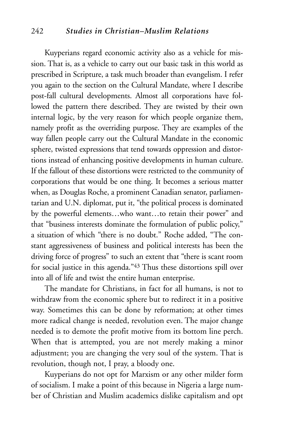#### 242 *Studies in Christian–Muslim Relations*

Kuyperians regard economic activity also as a vehicle for mission. That is, as a vehicle to carry out our basic task in this world as prescribed in Scripture, a task much broader than evangelism. I refer you again to the section on the Cultural Mandate, where I describe post-fall cultural developments. Almost all corporations have followed the pattern there described. They are twisted by their own internal logic, by the very reason for which people organize them, namely profit as the overriding purpose. They are examples of the way fallen people carry out the Cultural Mandate in the economic sphere, twisted expressions that tend towards oppression and distortions instead of enhancing positive developments in human culture. If the fallout of these distortions were restricted to the community of corporations that would be one thing. It becomes a serious matter when, as Douglas Roche, a prominent Canadian senator, parliamentarian and U.N. diplomat, put it, "the political process is dominated by the powerful elements…who want…to retain their power" and that "business interests dominate the formulation of public policy," a situation of which "there is no doubt." Roche added, "The constant aggressiveness of business and political interests has been the driving force of progress" to such an extent that "there is scant room for social justice in this agenda."43 Thus these distortions spill over into all of life and twist the entire human enterprise.

The mandate for Christians, in fact for all humans, is not to withdraw from the economic sphere but to redirect it in a positive way. Sometimes this can be done by reformation; at other times more radical change is needed, revolution even. The major change needed is to demote the profit motive from its bottom line perch. When that is attempted, you are not merely making a minor adjustment; you are changing the very soul of the system. That is revolution, though not, I pray, a bloody one.

Kuyperians do not opt for Marxism or any other milder form of socialism. I make a point of this because in Nigeria a large number of Christian and Muslim academics dislike capitalism and opt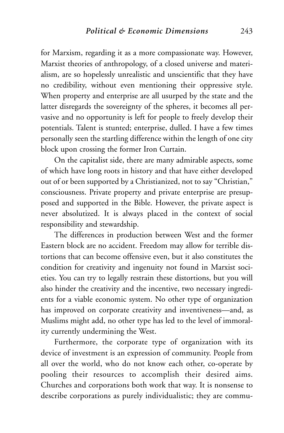for Marxism, regarding it as a more compassionate way. However, Marxist theories of anthropology, of a closed universe and materialism, are so hopelessly unrealistic and unscientific that they have no credibility, without even mentioning their oppressive style. When property and enterprise are all usurped by the state and the latter disregards the sovereignty of the spheres, it becomes all pervasive and no opportunity is left for people to freely develop their potentials. Talent is stunted; enterprise, dulled. I have a few times personally seen the startling difference within the length of one city block upon crossing the former Iron Curtain.

On the capitalist side, there are many admirable aspects, some of which have long roots in history and that have either developed out of or been supported by a Christianized, not to say "Christian," consciousness. Private property and private enterprise are presupposed and supported in the Bible. However, the private aspect is never absolutized. It is always placed in the context of social responsibility and stewardship.

The differences in production between West and the former Eastern block are no accident. Freedom may allow for terrible distortions that can become offensive even, but it also constitutes the condition for creativity and ingenuity not found in Marxist societies. You can try to legally restrain these distortions, but you will also hinder the creativity and the incentive, two necessary ingredients for a viable economic system. No other type of organization has improved on corporate creativity and inventiveness—and, as Muslims might add, no other type has led to the level of immorality currently undermining the West.

Furthermore, the corporate type of organization with its device of investment is an expression of community. People from all over the world, who do not know each other, co-operate by pooling their resources to accomplish their desired aims. Churches and corporations both work that way. It is nonsense to describe corporations as purely individualistic; they are commu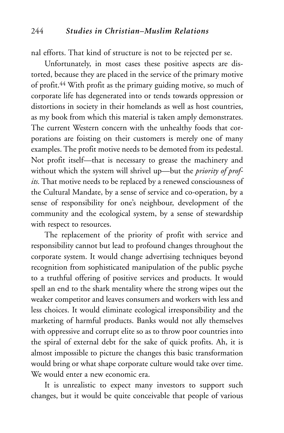nal efforts. That kind of structure is not to be rejected per se.

Unfortunately, in most cases these positive aspects are distorted, because they are placed in the service of the primary motive of profit.44 With profit as the primary guiding motive, so much of corporate life has degenerated into or tends towards oppression or distortions in society in their homelands as well as host countries, as my book from which this material is taken amply demonstrates. The current Western concern with the unhealthy foods that corporations are foisting on their customers is merely one of many examples. The profit motive needs to be demoted from its pedestal. Not profit itself—that is necessary to grease the machinery and without which the system will shrivel up—but the *priority of profits.* That motive needs to be replaced by a renewed consciousness of the Cultural Mandate, by a sense of service and co-operation, by a sense of responsibility for one's neighbour, development of the community and the ecological system, by a sense of stewardship with respect to resources.

The replacement of the priority of profit with service and responsibility cannot but lead to profound changes throughout the corporate system. It would change advertising techniques beyond recognition from sophisticated manipulation of the public psyche to a truthful offering of positive services and products. It would spell an end to the shark mentality where the strong wipes out the weaker competitor and leaves consumers and workers with less and less choices. It would eliminate ecological irresponsibility and the marketing of harmful products. Banks would not ally themselves with oppressive and corrupt elite so as to throw poor countries into the spiral of external debt for the sake of quick profits. Ah, it is almost impossible to picture the changes this basic transformation would bring or what shape corporate culture would take over time. We would enter a new economic era.

It is unrealistic to expect many investors to support such changes, but it would be quite conceivable that people of various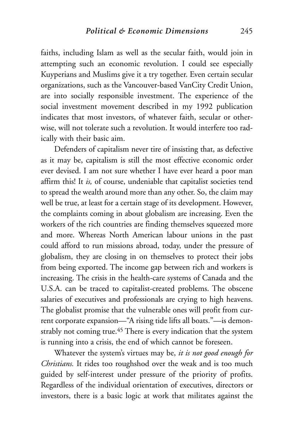faiths, including Islam as well as the secular faith, would join in attempting such an economic revolution. I could see especially Kuyperians and Muslims give it a try together. Even certain secular organizations, such as the Vancouver-based VanCity Credit Union, are into socially responsible investment. The experience of the social investment movement described in my 1992 publication indicates that most investors, of whatever faith, secular or otherwise, will not tolerate such a revolution. It would interfere too radically with their basic aim.

Defenders of capitalism never tire of insisting that, as defective as it may be, capitalism is still the most effective economic order ever devised. I am not sure whether I have ever heard a poor man affirm this! It *is,* of course, undeniable that capitalist societies tend to spread the wealth around more than any other. So, the claim may well be true, at least for a certain stage of its development. However, the complaints coming in about globalism are increasing. Even the workers of the rich countries are finding themselves squeezed more and more. Whereas North American labour unions in the past could afford to run missions abroad, today, under the pressure of globalism, they are closing in on themselves to protect their jobs from being exported. The income gap between rich and workers is increasing. The crisis in the health-care systems of Canada and the U.S.A. can be traced to capitalist-created problems. The obscene salaries of executives and professionals are crying to high heavens. The globalist promise that the vulnerable ones will profit from current corporate expansion—"A rising tide lifts all boats."—is demonstrably not coming true.<sup>45</sup> There is every indication that the system is running into a crisis, the end of which cannot be foreseen.

Whatever the system's virtues may be, *it is not good enough for Christians.* It rides too roughshod over the weak and is too much guided by self-interest under pressure of the priority of profits. Regardless of the individual orientation of executives, directors or investors, there is a basic logic at work that militates against the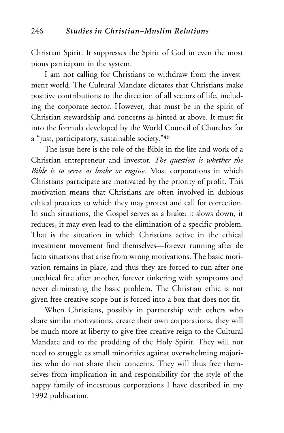Christian Spirit. It suppresses the Spirit of God in even the most pious participant in the system.

I am not calling for Christians to withdraw from the investment world. The Cultural Mandate dictates that Christians make positive contributions to the direction of all sectors of life, including the corporate sector. However, that must be in the spirit of Christian stewardship and concerns as hinted at above. It must fit into the formula developed by the World Council of Churches for a "just, participatory, sustainable society."46

The issue here is the role of the Bible in the life and work of a Christian entrepreneur and investor. *The question is whether the Bible is to serve as brake or engine.* Most corporations in which Christians participate are motivated by the priority of profit. This motivation means that Christians are often involved in dubious ethical practices to which they may protest and call for correction. In such situations, the Gospel serves as a brake: it slows down, it reduces, it may even lead to the elimination of a specific problem. That is the situation in which Christians active in the ethical investment movement find themselves—forever running after de facto situations that arise from wrong motivations. The basic motivation remains in place, and thus they are forced to run after one unethical fire after another, forever tinkering with symptoms and never eliminating the basic problem. The Christian ethic is not given free creative scope but is forced into a box that does not fit.

When Christians, possibly in partnership with others who share similar motivations, create their own corporations, they will be much more at liberty to give free creative reign to the Cultural Mandate and to the prodding of the Holy Spirit. They will not need to struggle as small minorities against overwhelming majorities who do not share their concerns. They will thus free themselves from implication in and responsibility for the style of the happy family of incestuous corporations I have described in my 1992 publication.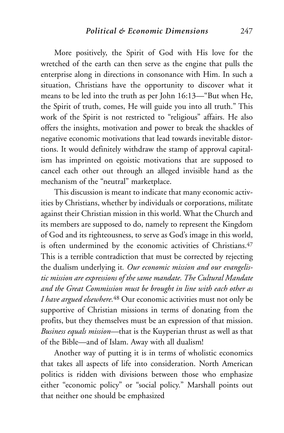More positively, the Spirit of God with His love for the wretched of the earth can then serve as the engine that pulls the enterprise along in directions in consonance with Him. In such a situation, Christians have the opportunity to discover what it means to be led into the truth as per John 16:13—"But when He, the Spirit of truth, comes, He will guide you into all truth." This work of the Spirit is not restricted to "religious" affairs. He also offers the insights, motivation and power to break the shackles of negative economic motivations that lead towards inevitable distortions. It would definitely withdraw the stamp of approval capitalism has imprinted on egoistic motivations that are supposed to cancel each other out through an alleged invisible hand as the mechanism of the "neutral" marketplace.

This discussion is meant to indicate that many economic activities by Christians, whether by individuals or corporations, militate against their Christian mission in this world. What the Church and its members are supposed to do, namely to represent the Kingdom of God and its righteousness, to serve as God's image in this world, is often undermined by the economic activities of Christians.<sup>47</sup> This is a terrible contradiction that must be corrected by rejecting the dualism underlying it*. Our economic mission and our evangelistic mission are expressions of the same mandate. The Cultural Mandate and the Great Commission must be brought in line with each other as I have argued elsewhere.*<sup>48</sup> Our economic activities must not only be supportive of Christian missions in terms of donating from the profits, but they themselves must be an expression of that mission. *Business equals mission—*that is the Kuyperian thrust as well as that of the Bible—and of Islam. Away with all dualism!

Another way of putting it is in terms of wholistic economics that takes all aspects of life into consideration. North American politics is ridden with divisions between those who emphasize either "economic policy" or "social policy." Marshall points out that neither one should be emphasized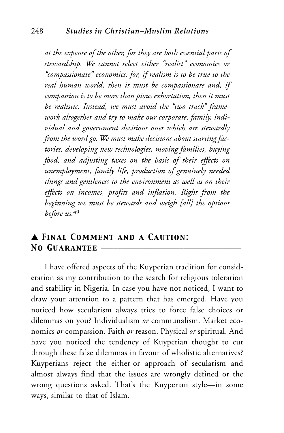*at the expense of the other, for they are both essential parts of stewardship. We cannot select either "realist" economics or "compassionate" economics, for, if realism is to be true to the real human world, then it must be compassionate and, if compassion is to be more than pious exhortation, then it must be realistic. Instead, we must avoid the "two track" framework altogether and try to make our corporate, family, individual and government decisions ones which are stewardly from the word go. We must make decisions about starting factories, developing new technologies, moving families, buying food, and adjusting taxes on the basis of their effects on unemployment, family life, production of genuinely needed things and gentleness to the environment as well as on their effects on incomes, profits and inflation. Right from the beginning we must be stewards and weigh [all] the options before us.*<sup>49</sup>

## ▲ *Final Comment and a Caution:* **NO GUARANTEE**

I have offered aspects of the Kuyperian tradition for consideration as my contribution to the search for religious toleration and stability in Nigeria. In case you have not noticed, I want to draw your attention to a pattern that has emerged. Have you noticed how secularism always tries to force false choices or dilemmas on you? Individualism *or* communalism. Market economics *or* compassion. Faith *or* reason. Physical *or* spiritual. And have you noticed the tendency of Kuyperian thought to cut through these false dilemmas in favour of wholistic alternatives? Kuyperians reject the either-or approach of secularism and almost always find that the issues are wrongly defined or the wrong questions asked. That's the Kuyperian style—in some ways, similar to that of Islam.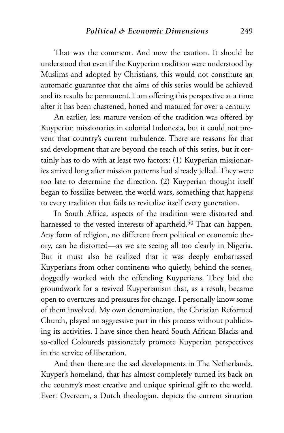That was the comment. And now the caution. It should be understood that even if the Kuyperian tradition were understood by Muslims and adopted by Christians, this would not constitute an automatic guarantee that the aims of this series would be achieved and its results be permanent. I am offering this perspective at a time after it has been chastened, honed and matured for over a century.

An earlier, less mature version of the tradition was offered by Kuyperian missionaries in colonial Indonesia, but it could not prevent that country's current turbulence. There are reasons for that sad development that are beyond the reach of this series, but it certainly has to do with at least two factors: (1) Kuyperian missionaries arrived long after mission patterns had already jelled. They were too late to determine the direction. (2) Kuyperian thought itself began to fossilize between the world wars, something that happens to every tradition that fails to revitalize itself every generation.

In South Africa, aspects of the tradition were distorted and harnessed to the vested interests of apartheid.<sup>50</sup> That can happen. Any form of religion, no different from political or economic theory, can be distorted—as we are seeing all too clearly in Nigeria. But it must also be realized that it was deeply embarrassed Kuyperians from other continents who quietly, behind the scenes, doggedly worked with the offending Kuyperians. They laid the groundwork for a revived Kuyperianism that, as a result, became open to overtures and pressures for change. I personally know some of them involved. My own denomination, the Christian Reformed Church, played an aggressive part in this process without publicizing its activities. I have since then heard South African Blacks and so-called Coloureds passionately promote Kuyperian perspectives in the service of liberation.

And then there are the sad developments in The Netherlands, Kuyper's homeland, that has almost completely turned its back on the country's most creative and unique spiritual gift to the world. Evert Overeem, a Dutch theologian, depicts the current situation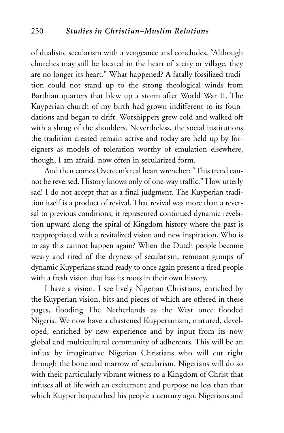of dualistic secularism with a vengeance and concludes, "Although churches may still be located in the heart of a city or village, they are no longer its heart." What happened? A fatally fossilized tradition could not stand up to the strong theological winds from Barthian quarters that blew up a storm after World War II. The Kuyperian church of my birth had grown indifferent to its foundations and began to drift. Worshippers grew cold and walked off with a shrug of the shoulders. Nevertheless, the social institutions the tradition created remain active and today are held up by foreigners as models of toleration worthy of emulation elsewhere, though, I am afraid, now often in secularized form.

And then comes Overeem's real heart wrencher: "This trend cannot be reversed. History knows only of one-way traffic." How utterly sad! I do not accept that as a final judgment. The Kuyperian tradition itself is a product of revival. That revival was more than a reversal to previous conditions; it represented continued dynamic revelation upward along the spiral of Kingdom history where the past is reappropriated with a revitalized vision and new inspiration. Who is to say this cannot happen again? When the Dutch people become weary and tired of the dryness of secularism, remnant groups of dynamic Kuyperians stand ready to once again present a tired people with a fresh vision that has its roots in their own history.

I have a vision. I see lively Nigerian Christians, enriched by the Kuyperian vision, bits and pieces of which are offered in these pages, flooding The Netherlands as the West once flooded Nigeria. We now have a chastened Kuyperianism, matured, developed, enriched by new experience and by input from its now global and multicultural community of adherents. This will be an influx by imaginative Nigerian Christians who will cut right through the bone and marrow of secularism. Nigerians will do so with their particularly vibrant witness to a Kingdom of Christ that infuses all of life with an excitement and purpose no less than that which Kuyper bequeathed his people a century ago. Nigerians and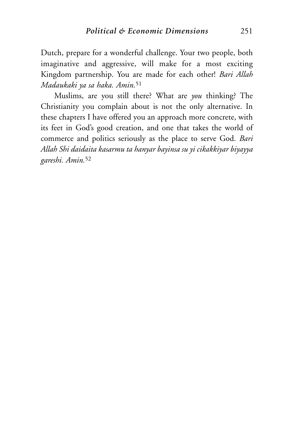Dutch, prepare for a wonderful challenge. Your two people, both imaginative and aggressive, will make for a most exciting Kingdom partnership. You are made for each other! *Bari Allah Madaukaki ya sa haka. Amin.*<sup>51</sup>

Muslims, are you still there? What are *you* thinking? The Christianity you complain about is not the only alternative. In these chapters I have offered you an approach more concrete, with its feet in God's good creation, and one that takes the world of commerce and politics seriously as the place to serve God. *Bari Allah Shi daidaita kasarmu ta hanyar bayinsa su yi cikakkiyar biyayya gareshi. Amin.*<sup>52</sup>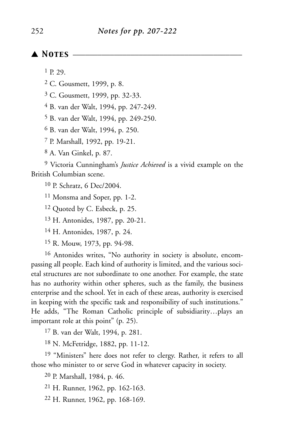## ▲ *Notes* \_\_\_\_\_\_\_\_\_\_\_\_\_\_\_\_\_\_\_\_\_\_\_\_\_\_\_\_\_\_\_\_\_\_\_\_\_\_\_\_\_

P. 29.

- C. Gousmett, 1999, p. 8.
- C. Gousmett, 1999, pp. 32-33.
- B. van der Walt, 1994, pp. 247-249.
- B. van der Walt, 1994, pp. 249-250.

B. van der Walt, 1994, p. 250.

P. Marshall, 1992, pp. 19-21.

A. Van Ginkel, p. 87.

 Victoria Cunningham's *Justice Achieved* is a vivid example on the British Columbian scene.

P. Schratz, 6 Dec/2004.

Monsma and Soper, pp. 1-2.

Quoted by C. Esbeck, p. 25.

H. Antonides, 1987, pp. 20-21.

H. Antonides, 1987, p. 24.

R. Mouw, 1973, pp. 94-98.

 Antonides writes, "No authority in society is absolute, encompassing all people. Each kind of authority is limited, and the various societal structures are not subordinate to one another. For example, the state has no authority within other spheres, such as the family, the business enterprise and the school. Yet in each of these areas, authority is exercised in keeping with the specific task and responsibility of such institutions." He adds, "The Roman Catholic principle of subsidiarity…plays an important role at this point" (p. 25).

B. van der Walt, 1994, p. 281.

N. McFetridge, 1882, pp. 11-12.

<sup>19</sup> "Ministers" here does not refer to clergy. Rather, it refers to all those who minister to or serve God in whatever capacity in society.

P. Marshall, 1984, p. 46.

H. Runner, 1962, pp. 162-163.

H. Runner, 1962, pp. 168-169.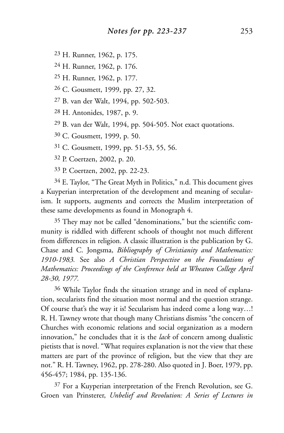23 H. Runner, 1962, p. 175.

24 H. Runner, 1962, p. 176.

25 H. Runner, 1962, p. 177.

26 C. Gousmett, 1999, pp. 27, 32.

27 B. van der Walt, 1994, pp. 502-503.

28 H. Antonides, 1987, p. 9.

29 B. van der Walt, 1994, pp. 504-505. Not exact quotations.

30 C. Gousmett, 1999, p. 50.

31 C. Gousmett, 1999, pp. 51-53, 55, 56.

32 P. Coertzen, 2002, p. 20.

33 P. Coertzen, 2002, pp. 22-23.

34 E. Taylor, "The Great Myth in Politics," n.d. This document gives a Kuyperian interpretation of the development and meaning of secularism. It supports, augments and corrects the Muslim interpretation of these same developments as found in Monograph 4.

35 They may not be called "denominations," but the scientific community is riddled with different schools of thought not much different from differences in religion. A classic illustration is the publication by G. Chase and C. Jongsma, *Bibliography of Christianity and Mathematics: 1910-1983.* See also *A Christian Perspective on the Foundations of Mathematics: Proceedings of the Conference held at Wheaton College April 28-30, 1977.*

36 While Taylor finds the situation strange and in need of explanation, secularists find the situation most normal and the question strange. Of course that's the way it is! Secularism has indeed come a long way…! R. H. Tawney wrote that though many Christians dismiss "the concern of Churches with economic relations and social organization as a modern innovation," he concludes that it is the *lack* of concern among dualistic pietists that is novel. "What requires explanation is not the view that these matters are part of the province of religion, but the view that they are not." R. H. Tawney, 1962, pp. 278-280. Also quoted in J. Boer, 1979, pp. 456-457; 1984, pp. 135-136.

37 For a Kuyperian interpretation of the French Revolution, see G. Groen van Prinsterer, *Unbelief and Revolution: A Series of Lectures in*